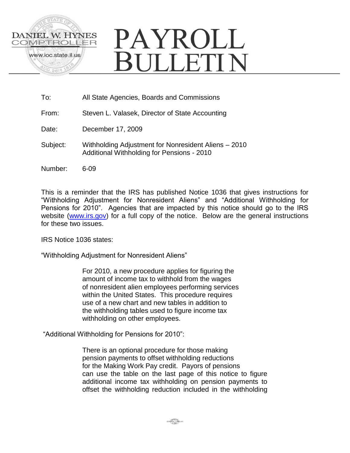

| All State Agencies, Boards and Commissions |
|--------------------------------------------|
|                                            |

- From: Steven L. Valasek, Director of State Accounting
- Date: December 17, 2009
- Subject: Withholding Adjustment for Nonresident Aliens 2010 Additional Withholding for Pensions - 2010
- Number: 6-09

This is a reminder that the IRS has published Notice 1036 that gives instructions for "Withholding Adjustment for Nonresident Aliens" and "Additional Withholding for Pensions for 2010". Agencies that are impacted by this notice should go to the IRS website [\(www.irs.gov\)](http://www.irs.gov/) for a full copy of the notice. Below are the general instructions for these two issues.

IRS Notice 1036 states:

"Withholding Adjustment for Nonresident Aliens"

For 2010, a new procedure applies for figuring the amount of income tax to withhold from the wages of nonresident alien employees performing services within the United States. This procedure requires use of a new chart and new tables in addition to the withholding tables used to figure income tax withholding on other employees.

"Additional Withholding for Pensions for 2010":

There is an optional procedure for those making pension payments to offset withholding reductions for the Making Work Pay credit. Payors of pensions can use the table on the last page of this notice to figure additional income tax withholding on pension payments to offset the withholding reduction included in the withholding